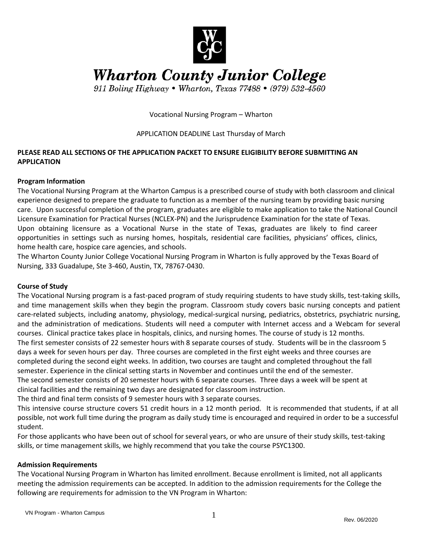

**Wharton County Junior College** 

911 Boling Highway • Wharton, Texas 77488 • (979) 532-4560

Vocational Nursing Program – Wharton

## APPLICATION DEADLINE Last Thursday of March

## **PLEASE READ ALL SECTIONS OF THE APPLICATION PACKET TO ENSURE ELIGIBILITY BEFORE SUBMITTING AN APPLICATION**

## **Program Information**

The Vocational Nursing Program at the Wharton Campus is a prescribed course of study with both classroom and clinical experience designed to prepare the graduate to function as a member of the nursing team by providing basic nursing care. Upon successful completion of the program, graduates are eligible to make application to take the National Council Licensure Examination for Practical Nurses (NCLEX-PN) and the Jurisprudence Examination for the state of Texas. Upon obtaining licensure as a Vocational Nurse in the state of Texas, graduates are likely to find career opportunities in settings such as nursing homes, hospitals, residential care facilities, physicians' offices, clinics, home health care, hospice care agencies, and schools.

The Wharton County Junior College Vocational Nursing Program in Wharton is fully approved by the Texas Board of Nursing, 333 Guadalupe, Ste 3-460, Austin, TX, 78767-0430.

## **Course of Study**

The Vocational Nursing program is a fast-paced program of study requiring students to have study skills, test-taking skills, and time management skills when they begin the program. Classroom study covers basic nursing concepts and patient care-related subjects, including anatomy, physiology, medical-surgical nursing, pediatrics, obstetrics, psychiatric nursing, and the administration of medications. Students will need a computer with Internet access and a Webcam for several courses. Clinical practice takes place in hospitals, clinics, and nursing homes. The course of study is 12 months. The first semester consists of 22 semester hours with 8 separate courses of study. Students will be in the classroom 5 days a week for seven hours per day. Three courses are completed in the first eight weeks and three courses are completed during the second eight weeks. In addition, two courses are taught and completed throughout the fall semester. Experience in the clinical setting starts in November and continues until the end of the semester. The second semester consists of 20 semester hours with 6 separate courses. Three days a week will be spent at clinical facilities and the remaining two days are designated for classroom instruction.

The third and final term consists of 9 semester hours with 3 separate courses.

This intensive course structure covers 51 credit hours in a 12 month period. It is recommended that students, if at all possible, not work full time during the program as daily study time is encouraged and required in order to be a successful student.

For those applicants who have been out of school for several years, or who are unsure of their study skills, test-taking skills, or time management skills, we highly recommend that you take the course PSYC1300.

## **Admission Requirements**

The Vocational Nursing Program in Wharton has limited enrollment. Because enrollment is limited, not all applicants meeting the admission requirements can be accepted. In addition to the admission requirements for the College the following are requirements for admission to the VN Program in Wharton: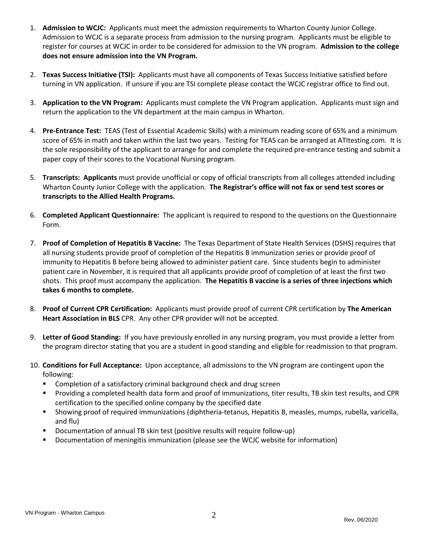- 1. **Admission to WCJC:** Applicants must meet the admission requirements to Wharton County Junior College. Admission to WCJC is a separate process from admission to the nursing program. Applicants must be eligible to register for courses at WCJC in order to be considered for admission to the VN program. **Admission to the college does not ensure admission into the VN Program.**
- 2. **Texas Success Initiative (TSI):** Applicants must have all components of Texas Success Initiative satisfied before turning in VN application. If unsure if you are TSI complete please contact the WCJC registrar office to find out.
- 3. **Application to the VN Program:** Applicants must complete the VN Program application. Applicants must sign and return the application to the VN department at the main campus in Wharton.
- 4. **Pre-Entrance Test:** TEAS (Test of Essential Academic Skills) with a minimum reading score of 65% and a minimum score of 65% in math and taken within the last two years. Testing for TEAS can be arranged at ATItesting.com. It is the sole responsibility of the applicant to arrange for and complete the required pre-entrance testing and submit a paper copy of their scores to the Vocational Nursing program.
- 5. **Transcripts: Applicants** must provide unofficial or copy of official transcripts from all colleges attended including Wharton County Junior College with the application. **The Registrar's office will not fax or send test scores or transcripts to the Allied Health Programs.**
- 6. **Completed Applicant Questionnaire:** The applicant is required to respond to the questions on the Questionnaire Form.
- 7. **Proof of Completion of Hepatitis B Vaccine:** The Texas Department of State Health Services (DSHS) requires that all nursing students provide proof of completion of the Hepatitis B immunization series or provide proof of immunity to Hepatitis B before being allowed to administer patient care. Since students begin to administer patient care in November, it is required that all applicants provide proof of completion of at least the first two shots. This proof must accompany the application. **The Hepatitis B vaccine is a series of three injections which takes 6 months to complete.**
- 8. **Proof of Current CPR Certification:** Applicants must provide proof of current CPR certification by **The American Heart Association in BLS** CPR. Any other CPR provider will not be accepted.
- 9. **Letter of Good Standing:** If you have previously enrolled in any nursing program, you must provide a letter from the program director stating that you are a student in good standing and eligible for readmission to that program.
- 10. **Conditions for Full Acceptance:** Upon acceptance, all admissions to the VN program are contingent upon the following:
	- **EXP** Completion of a satisfactory criminal background check and drug screen
	- Providing a completed health data form and proof of immunizations, titer results, TB skin test results, and CPR certification to the specified online company by the specified date
	- Showing proof of required immunizations (diphtheria-tetanus, Hepatitis B, measles, mumps, rubella, varicella, and flu)
	- Documentation of annual TB skin test (positive results will require follow-up)
	- **D** Documentation of meningitis immunization (please see the WCJC website for information)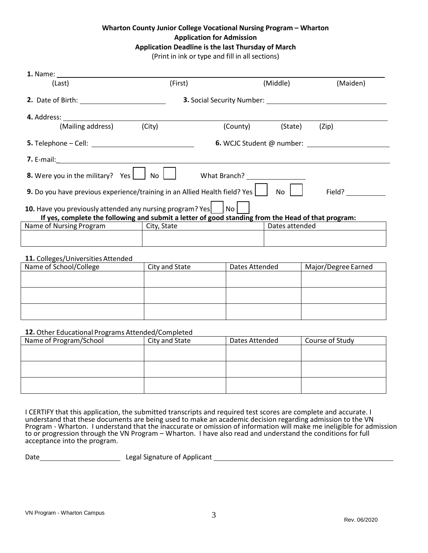## **Wharton County Junior College Vocational Nursing Program – Wharton Application for Admission Application Deadline is the last Thursday of March**

(Print in ink or type and fill in all sections)

| (Last)                                                                                                         | (First)                                      |                                  | (Middle)       | (Maiden) |
|----------------------------------------------------------------------------------------------------------------|----------------------------------------------|----------------------------------|----------------|----------|
| 2. Date of Birth: 2008 and 2008 and 2008 and 2008 and 2008 and 2008 and 2008 and 2008 and 2008 and 2008 and 20 |                                              |                                  |                |          |
|                                                                                                                |                                              |                                  |                |          |
| (Mailing address)                                                                                              | (City)                                       | (County)                         | (State)        | (Zip)    |
| $\mathsf{5.}$ Telephone $\mathsf{-}$ Cell:                                                                     |                                              | <b>6.</b> WCJC Student @ number: |                |          |
|                                                                                                                |                                              |                                  |                |          |
| 8. Were you in the military? Yes                                                                               | $\overline{N}$ $\overline{C}$ $\overline{C}$ |                                  |                |          |
| 9. Do you have previous experience/training in an Allied Health field? Yes                                     |                                              |                                  | No             | Field?   |
| 10. Have you previously attended any nursing program? Yes                                                      |                                              | No                               |                |          |
| If yes, complete the following and submit a letter of good standing from the Head of that program:             |                                              |                                  |                |          |
| Name of Nursing Program                                                                                        | City, State                                  |                                  | Dates attended |          |
|                                                                                                                |                                              |                                  |                |          |

#### 11. Colleges/Universities Attended

| Name of School/College | City and State | Dates Attended | Major/Degree Earned |
|------------------------|----------------|----------------|---------------------|
|                        |                |                |                     |
|                        |                |                |                     |
|                        |                |                |                     |
|                        |                |                |                     |
|                        |                |                |                     |
|                        |                |                |                     |

#### **12.** Other Educational Programs Attended/Completed

| Name of Program/School | City and State | Dates Attended | Course of Study |
|------------------------|----------------|----------------|-----------------|
|                        |                |                |                 |
|                        |                |                |                 |
|                        |                |                |                 |
|                        |                |                |                 |
|                        |                |                |                 |
|                        |                |                |                 |

I CERTIFY that this application, the submitted transcripts and required test scores are complete and accurate. I understand that these documents are being used to make an academic decision regarding admission to the VN Program - Wharton. I understand that the inaccurate or omission of information will make me ineligible for admission to or progression through the VN Program – Wharton. I have also read and understand the conditions for full acceptance into the program.

Date Legal Signature of Applicant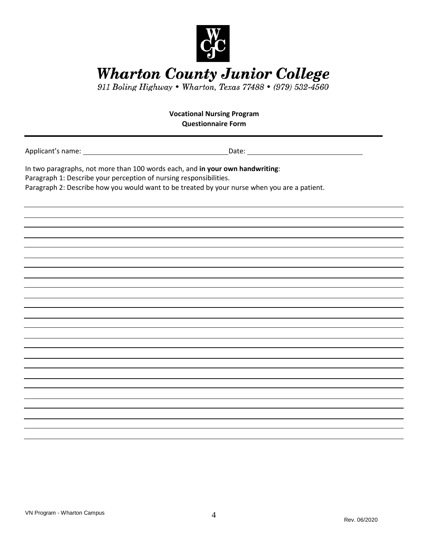

Wharton County Junior College<br>911 Boling Highway . Wharton, Texas 77488 . (979) 532-4560

| <b>Vocational Nursing Program</b>                                                                                                                   |                                                                                              |  |  |  |
|-----------------------------------------------------------------------------------------------------------------------------------------------------|----------------------------------------------------------------------------------------------|--|--|--|
| <b>Questionnaire Form</b>                                                                                                                           |                                                                                              |  |  |  |
|                                                                                                                                                     |                                                                                              |  |  |  |
| In two paragraphs, not more than 100 words each, and in your own handwriting:<br>Paragraph 1: Describe your perception of nursing responsibilities. |                                                                                              |  |  |  |
|                                                                                                                                                     | Paragraph 2: Describe how you would want to be treated by your nurse when you are a patient. |  |  |  |
|                                                                                                                                                     |                                                                                              |  |  |  |
|                                                                                                                                                     |                                                                                              |  |  |  |
|                                                                                                                                                     |                                                                                              |  |  |  |
|                                                                                                                                                     |                                                                                              |  |  |  |
|                                                                                                                                                     |                                                                                              |  |  |  |
|                                                                                                                                                     |                                                                                              |  |  |  |
|                                                                                                                                                     |                                                                                              |  |  |  |
|                                                                                                                                                     |                                                                                              |  |  |  |
|                                                                                                                                                     |                                                                                              |  |  |  |
|                                                                                                                                                     |                                                                                              |  |  |  |
|                                                                                                                                                     |                                                                                              |  |  |  |
|                                                                                                                                                     |                                                                                              |  |  |  |
|                                                                                                                                                     |                                                                                              |  |  |  |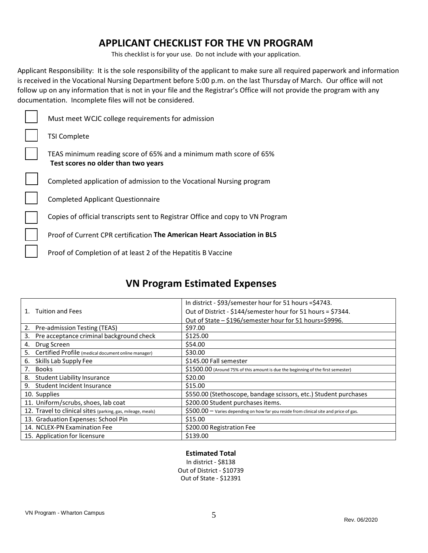## **APPLICANT CHECKLIST FOR THE VN PROGRAM**

This checklist is for your use. Do not include with your application.

Applicant Responsibility: It is the sole responsibility of the applicant to make sure all required paperwork and information is received in the Vocational Nursing Department before 5:00 p.m. on the last Thursday of March. Our office will not follow up on any information that is not in your file and the Registrar's Office will not provide the program with any documentation. Incomplete files will not be considered.

| Must meet WCJC college requirements for admission                                                        |
|----------------------------------------------------------------------------------------------------------|
| <b>TSI Complete</b>                                                                                      |
| TEAS minimum reading score of 65% and a minimum math score of 65%<br>Test scores no older than two years |
| Completed application of admission to the Vocational Nursing program                                     |
| <b>Completed Applicant Questionnaire</b>                                                                 |
| Copies of official transcripts sent to Registrar Office and copy to VN Program                           |
| Proof of Current CPR certification The American Heart Association in BLS                                 |
| Proof of Completion of at least 2 of the Hepatitis B Vaccine                                             |

# **VN Program Estimated Expenses**

|                                                             | In district - \$93/semester hour for 51 hours =\$4743.                                  |
|-------------------------------------------------------------|-----------------------------------------------------------------------------------------|
| <b>Tuition and Fees</b><br>$1_{-}$                          | Out of District - \$144/semester hour for 51 hours = \$7344.                            |
|                                                             | Out of State - \$196/semester hour for 51 hours=\$9996.                                 |
| Pre-admission Testing (TEAS)<br>2.                          | \$97.00                                                                                 |
| Pre acceptance criminal background check<br>3.              | \$125.00                                                                                |
| Drug Screen<br>4.                                           | \$54.00                                                                                 |
| Certified Profile (medical document online manager)<br>5.   | \$30.00                                                                                 |
| 6.<br>Skills Lab Supply Fee                                 | \$145.00 Fall semester                                                                  |
| Books<br>7.                                                 | \$1500.00 (Around 75% of this amount is due the beginning of the first semester)        |
| <b>Student Liability Insurance</b><br>8.                    | \$20.00                                                                                 |
| Student Incident Insurance<br>9.                            | \$15.00                                                                                 |
| 10. Supplies                                                | \$550.00 (Stethoscope, bandage scissors, etc.) Student purchases                        |
| 11. Uniform/scrubs, shoes, lab coat                         | \$200.00 Student purchases items.                                                       |
| 12. Travel to clinical sites (parking, gas, mileage, meals) | $$500.00 -$ Varies depending on how far you reside from clinical site and price of gas. |
| 13. Graduation Expenses: School Pin                         | \$15.00                                                                                 |
| 14. NCLEX-PN Examination Fee                                | \$200.00 Registration Fee                                                               |
| 15. Application for licensure                               | \$139.00                                                                                |

**Estimated Total** In district - \$8138 Out of District - \$10739 Out of State - \$12391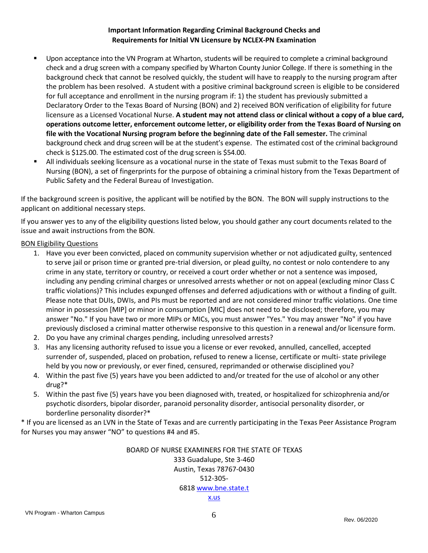## **Important Information Regarding Criminal Background Checks and Requirements for Initial VN Licensure by NCLEX-PN Examination**

- Upon acceptance into the VN Program at Wharton, students will be required to complete a criminal background check and a drug screen with a company specified by Wharton County Junior College. If there is something in the background check that cannot be resolved quickly, the student will have to reapply to the nursing program after the problem has been resolved. A student with a positive criminal background screen is eligible to be considered for full acceptance and enrollment in the nursing program if: 1) the student has previously submitted a Declaratory Order to the Texas Board of Nursing (BON) and 2) received BON verification of eligibility for future licensure as a Licensed Vocational Nurse. **A student may not attend class or clinical without a copy of a blue card, operations outcome letter, enforcement outcome letter, or eligibility order from the Texas Board of Nursing on file with the Vocational Nursing program before the beginning date of the Fall semester.** The criminal background check and drug screen will be at the student's expense. The estimated cost of the criminal background check is \$125.00. The estimated cost of the drug screen is \$54.00.
- All individuals seeking licensure as a vocational nurse in the state of Texas must submit to the Texas Board of Nursing (BON), a set of fingerprints for the purpose of obtaining a criminal history from the Texas Department of Public Safety and the Federal Bureau of Investigation.

If the background screen is positive, the applicant will be notified by the BON. The BON will supply instructions to the applicant on additional necessary steps.

If you answer yes to any of the eligibility questions listed below, you should gather any court documents related to the issue and await instructions from the BON.

## BON Eligibility Questions

- 1. Have you ever been convicted, placed on community supervision whether or not adjudicated guilty, sentenced to serve jail or prison time or granted pre-trial diversion, or plead guilty, no contest or nolo contendere to any crime in any state, territory or country, or received a court order whether or not a sentence was imposed, including any pending criminal charges or unresolved arrests whether or not on appeal (excluding minor Class C traffic violations)? This includes expunged offenses and deferred adjudications with or without a finding of guilt. Please note that DUIs, DWIs, and PIs must be reported and are not considered minor traffic violations. One time minor in possession [MIP] or minor in consumption [MIC] does not need to be disclosed; therefore, you may answer "No." If you have two or more MIPs or MICs, you must answer "Yes." You may answer "No" if you have previously disclosed a criminal matter otherwise responsive to this question in a renewal and/or licensure form.
- 2. Do you have any criminal charges pending, including unresolved arrests?
- 3. Has any licensing authority refused to issue you a license or ever revoked, annulled, cancelled, accepted surrender of, suspended, placed on probation, refused to renew a license, certificate or multi- state privilege held by you now or previously, or ever fined, censured, reprimanded or otherwise disciplined you?
- 4. Within the past five (5) years have you been addicted to and/or treated for the use of alcohol or any other drug?\*
- 5. Within the past five (5) years have you been diagnosed with, treated, or hospitalized for schizophrenia and/or psychotic disorders, bipolar disorder, paranoid personality disorder, antisocial personality disorder, or borderline personality disorder?\*

\* If you are licensed as an LVN in the State of Texas and are currently participating in the Texas Peer Assistance Program for Nurses you may answer "NO" to questions #4 and #5.

> BOARD OF NURSE EXAMINERS FOR THE STATE OF TEXAS 333 Guadalupe, Ste 3-460 Austin, Texas 78767-0430 512-305- 6818 www.bne.state.t x.us